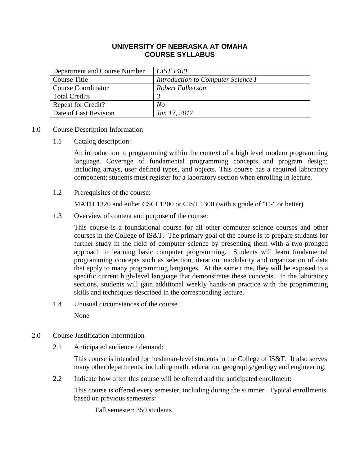# **UNIVERSITY OF NEBRASKA AT OMAHA COURSE SYLLABUS**

| Department and Course Number | <i>CIST 1400</i>                   |
|------------------------------|------------------------------------|
| Course Title                 | Introduction to Computer Science I |
| <b>Course Coordinator</b>    | Robert Fulkerson                   |
| <b>Total Credits</b>         |                                    |
| <b>Repeat for Credit?</b>    | No                                 |
| Date of Last Revision        | Jan 17, 2017                       |

- 1.0 Course Description Information
	- 1.1 Catalog description:

An introduction to programming within the context of a high level modern programming language. Coverage of fundamental programming concepts and program design; including arrays, user defined types, and objects. This course has a required laboratory component; students must register for a laboratory section when enrolling in lecture.

1.2 Prerequisites of the course:

MATH 1320 and either CSCI 1200 or CIST 1300 (with a grade of "C-" or better)

1.3 Overview of content and purpose of the course:

This course is a foundational course for all other computer science courses and other courses in the College of IS&T. The primary goal of the course is to prepare students for further study in the field of computer science by presenting them with a two-pronged approach to learning basic computer programming. Students will learn fundamental programming concepts such as selection, iteration, modularity and organization of data that apply to many programming languages. At the same time, they will be exposed to a specific current high-level language that demonstrates these concepts. In the laboratory sections, students will gain additional weekly hands-on practice with the programming skills and techniques described in the corresponding lecture.

1.4 Unusual circumstances of the course.

None

- 2.0 Course Justification Information
	- 2.1 Anticipated audience / demand:

This course is intended for freshman-level students in the College of IS&T. It also serves many other departments, including math, education, geography/geology and engineering.

2.2 Indicate how often this course will be offered and the anticipated enrollment:

This course is offered every semester, including during the summer. Typical enrollments based on previous semesters:

Fall semester: 350 students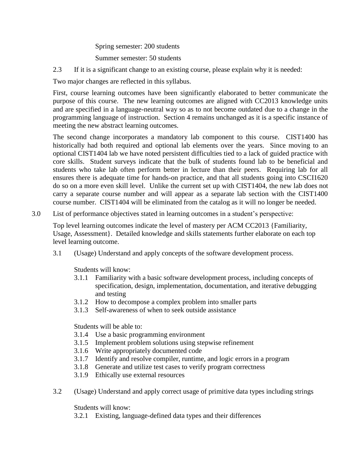Spring semester: 200 students

Summer semester: 50 students

2.3 If it is a significant change to an existing course, please explain why it is needed:

Two major changes are reflected in this syllabus.

First, course learning outcomes have been significantly elaborated to better communicate the purpose of this course. The new learning outcomes are aligned with CC2013 knowledge units and are specified in a language-neutral way so as to not become outdated due to a change in the programming language of instruction. Section 4 remains unchanged as it is a specific instance of meeting the new abstract learning outcomes.

The second change incorporates a mandatory lab component to this course. CIST1400 has historically had both required and optional lab elements over the years. Since moving to an optional CIST1404 lab we have noted persistent difficulties tied to a lack of guided practice with core skills. Student surveys indicate that the bulk of students found lab to be beneficial and students who take lab often perform better in lecture than their peers. Requiring lab for all ensures there is adequate time for hands-on practice, and that all students going into CSCI1620 do so on a more even skill level. Unlike the current set up with CIST1404, the new lab does not carry a separate course number and will appear as a separate lab section with the CIST1400 course number. CIST1404 will be eliminated from the catalog as it will no longer be needed.

3.0 List of performance objectives stated in learning outcomes in a student's perspective:

Top level learning outcomes indicate the level of mastery per ACM CC2013 {Familiarity, Usage, Assessment}. Detailed knowledge and skills statements further elaborate on each top level learning outcome.

3.1 (Usage) Understand and apply concepts of the software development process.

Students will know:

- 3.1.1 Familiarity with a basic software development process, including concepts of specification, design, implementation, documentation, and iterative debugging and testing
- 3.1.2 How to decompose a complex problem into smaller parts
- 3.1.3 Self-awareness of when to seek outside assistance

Students will be able to:

- 3.1.4 Use a basic programming environment
- 3.1.5 Implement problem solutions using stepwise refinement
- 3.1.6 Write appropriately documented code
- 3.1.7 Identify and resolve compiler, runtime, and logic errors in a program
- 3.1.8 Generate and utilize test cases to verify program correctness
- 3.1.9 Ethically use external resources
- 3.2 (Usage) Understand and apply correct usage of primitive data types including strings

Students will know:

3.2.1 Existing, language-defined data types and their differences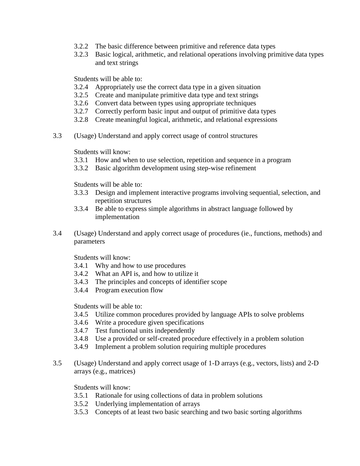- 3.2.2 The basic difference between primitive and reference data types
- 3.2.3 Basic logical, arithmetic, and relational operations involving primitive data types and text strings

Students will be able to:

- 3.2.4 Appropriately use the correct data type in a given situation
- 3.2.5 Create and manipulate primitive data type and text strings
- 3.2.6 Convert data between types using appropriate techniques
- 3.2.7 Correctly perform basic input and output of primitive data types
- 3.2.8 Create meaningful logical, arithmetic, and relational expressions
- 3.3 (Usage) Understand and apply correct usage of control structures

Students will know:

- 3.3.1 How and when to use selection, repetition and sequence in a program
- 3.3.2 Basic algorithm development using step-wise refinement

Students will be able to:

- 3.3.3 Design and implement interactive programs involving sequential, selection, and repetition structures
- 3.3.4 Be able to express simple algorithms in abstract language followed by implementation
- 3.4 (Usage) Understand and apply correct usage of procedures (ie., functions, methods) and parameters

Students will know:

- 3.4.1 Why and how to use procedures
- 3.4.2 What an API is, and how to utilize it
- 3.4.3 The principles and concepts of identifier scope
- 3.4.4 Program execution flow

Students will be able to:

- 3.4.5 Utilize common procedures provided by language APIs to solve problems
- 3.4.6 Write a procedure given specifications
- 3.4.7 Test functional units independently
- 3.4.8 Use a provided or self-created procedure effectively in a problem solution
- 3.4.9 Implement a problem solution requiring multiple procedures
- 3.5 (Usage) Understand and apply correct usage of 1-D arrays (e.g., vectors, lists) and 2-D arrays (e.g., matrices)

Students will know:

- 3.5.1 Rationale for using collections of data in problem solutions
- 3.5.2 Underlying implementation of arrays
- 3.5.3 Concepts of at least two basic searching and two basic sorting algorithms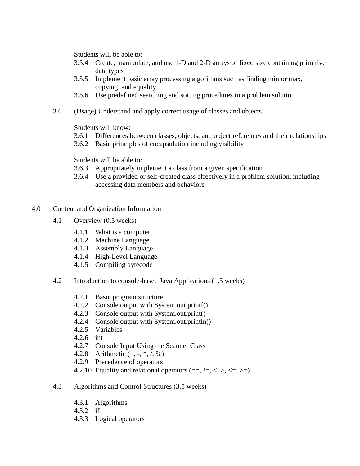Students will be able to:

- 3.5.4 Create, manipulate, and use 1-D and 2-D arrays of fixed size containing primitive data types
- 3.5.5 Implement basic array processing algorithms such as finding min or max, copying, and equality
- 3.5.6 Use predefined searching and sorting procedures in a problem solution
- 3.6 (Usage) Understand and apply correct usage of classes and objects

Students will know:

- 3.6.1 Differences between classes, objects, and object references and their relationships
- 3.6.2 Basic principles of encapsulation including visibility

Students will be able to:

- 3.6.3 Appropriately implement a class from a given specification
- 3.6.4 Use a provided or self-created class effectively in a problem solution, including accessing data members and behaviors
- 4.0 Content and Organization Information
	- 4.1 Overview (0.5 weeks)
		- 4.1.1 What is a computer
		- 4.1.2 Machine Language
		- 4.1.3 Assembly Language
		- 4.1.4 High-Level Language
		- 4.1.5 Compiling bytecode
	- 4.2 Introduction to console-based Java Applications (1.5 weeks)
		- 4.2.1 Basic program structure
		- 4.2.2 Console output with System.out.printf()
		- 4.2.3 Console output with System.out.print()
		- 4.2.4 Console output with System.out.println()
		- 4.2.5 Variables
		- 4.2.6 int
		- 4.2.7 Console Input Using the Scanner Class
		- 4.2.8 Arithmetic (+, -, \*, /, %)
		- 4.2.9 Precedence of operators
		- 4.2.10 Equality and relational operators  $(==, !=, <, >, <=, >=)$
	- 4.3 Algorithms and Control Structures (3.5 weeks)
		- 4.3.1 Algorithms
		- 4.3.2 if
		- 4.3.3 Logical operators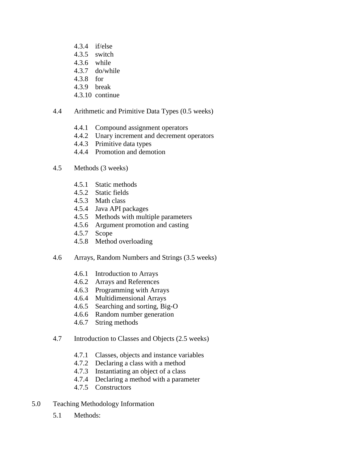- 4.3.4 if/else 4.3.5 switch 4.3.6 while 4.3.7 do/while
- 4.3.8 for
- 4.3.9 break
- 4.3.10 continue
- 4.4 Arithmetic and Primitive Data Types (0.5 weeks)
	- 4.4.1 Compound assignment operators
	- 4.4.2 Unary increment and decrement operators
	- 4.4.3 Primitive data types
	- 4.4.4 Promotion and demotion
- 4.5 Methods (3 weeks)
	- 4.5.1 Static methods
	- 4.5.2 Static fields
	- 4.5.3 Math class
	- 4.5.4 Java API packages
	- 4.5.5 Methods with multiple parameters
	- 4.5.6 Argument promotion and casting
	- 4.5.7 Scope
	- 4.5.8 Method overloading
- 4.6 Arrays, Random Numbers and Strings (3.5 weeks)
	- 4.6.1 Introduction to Arrays
	- 4.6.2 Arrays and References
	- 4.6.3 Programming with Arrays
	- 4.6.4 Multidimensional Arrays
	- 4.6.5 Searching and sorting, Big-O
	- 4.6.6 Random number generation
	- 4.6.7 String methods
- 4.7 Introduction to Classes and Objects (2.5 weeks)
	- 4.7.1 Classes, objects and instance variables
	- 4.7.2 Declaring a class with a method
	- 4.7.3 Instantiating an object of a class
	- 4.7.4 Declaring a method with a parameter
	- 4.7.5 Constructors
- 5.0 Teaching Methodology Information
	- 5.1 Methods: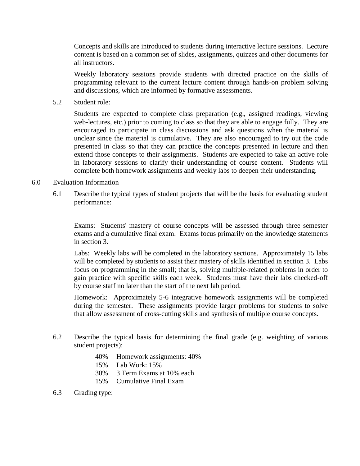Concepts and skills are introduced to students during interactive lecture sessions. Lecture content is based on a common set of slides, assignments, quizzes and other documents for all instructors.

Weekly laboratory sessions provide students with directed practice on the skills of programming relevant to the current lecture content through hands-on problem solving and discussions, which are informed by formative assessments.

5.2 Student role:

Students are expected to complete class preparation (e.g., assigned readings, viewing web-lectures, etc.) prior to coming to class so that they are able to engage fully. They are encouraged to participate in class discussions and ask questions when the material is unclear since the material is cumulative. They are also encouraged to try out the code presented in class so that they can practice the concepts presented in lecture and then extend those concepts to their assignments. Students are expected to take an active role in laboratory sessions to clarify their understanding of course content. Students will complete both homework assignments and weekly labs to deepen their understanding.

# 6.0 Evaluation Information

6.1 Describe the typical types of student projects that will be the basis for evaluating student performance:

Exams: Students' mastery of course concepts will be assessed through three semester exams and a cumulative final exam. Exams focus primarily on the knowledge statements in section 3.

Labs: Weekly labs will be completed in the laboratory sections. Approximately 15 labs will be completed by students to assist their mastery of skills identified in section 3. Labs focus on programming in the small; that is, solving multiple-related problems in order to gain practice with specific skills each week. Students must have their labs checked-off by course staff no later than the start of the next lab period.

Homework: Approximately 5-6 integrative homework assignments will be completed during the semester. These assignments provide larger problems for students to solve that allow assessment of cross-cutting skills and synthesis of multiple course concepts.

- 6.2 Describe the typical basis for determining the final grade (e.g. weighting of various student projects):
	- 40% Homework assignments: 40%
	- 15% Lab Work: 15%
	- 30% 3 Term Exams at 10% each
	- 15% Cumulative Final Exam
- 6.3 Grading type: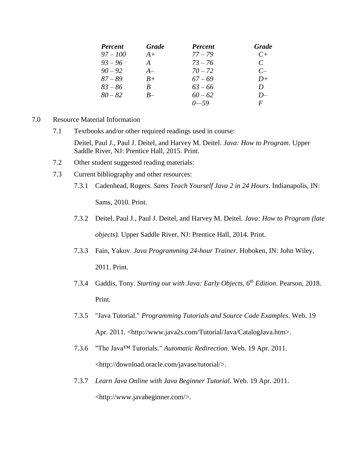| <b>Percent</b> | <b>Grade</b>  | <b>Percent</b> | <b>Grade</b>  |
|----------------|---------------|----------------|---------------|
| $97 - 100$     | $A+$          | $77 - 79$      | $C_{\pm}$     |
| $93 - 96$      | $\mathcal{A}$ | $73 - 76$      | $\mathcal{C}$ |
| $90 - 92$      | $A-$          | $70 - 72$      | $C-$          |
| $87 - 89$      | $B+$          | $67 - 69$      | $D+$          |
| $83 - 86$      | B             | $63 - 66$      | D             |
| $80 - 82$      | $B-$          | $60 - 62$      | $D-$          |
|                |               | $0 - 59$       | F             |

- 7.0 Resource Material Information
	- 7.1 Textbooks and/or other required readings used in course:

Deitel, Paul J., Paul J. Deitel, and Harvey M. Deitel. *Java: How to Program*. Upper Saddle River, NJ: Prentice Hall, 2015. Print.

- 7.2 Other student suggested reading materials:
- 7.3 Current bibliography and other resources:
	- 7.3.1 Cadenhead, Rogers. *Sams Teach Yourself Java 2 in 24 Hours*. Indianapolis, IN:

Sams, 2010. Print.

- 7.3.2 Deitel, Paul J., Paul J. Deitel, and Harvey M. Deitel. *Java: How to Program (late objects)*. Upper Saddle River, NJ: Prentice Hall, 2014. Print.
- 7.3.3 Fain, Yakov. *Java Programming 24-hour Trainer*. Hoboken, IN: John Wiley, 2011. Print.
- 7.3.4 Gaddis, Tony. *Starting out with Java: Early Objects, 6th Edition*. Pearson, 2018. Print.
- 7.3.5 "Java Tutorial." *Programming Tutorials and Source Code Examples*. Web. 19 Apr. 2011. <http://www.java2s.com/Tutorial/Java/CatalogJava.htm>.
- 7.3.6 "The Java™ Tutorials." *Automatic Redirection*. Web. 19 Apr. 2011. <http://download.oracle.com/javase/tutorial/>.
- 7.3.7 *Learn Java Online with Java Beginner Tutorial*. Web. 19 Apr. 2011. <http://www.javabeginner.com/>.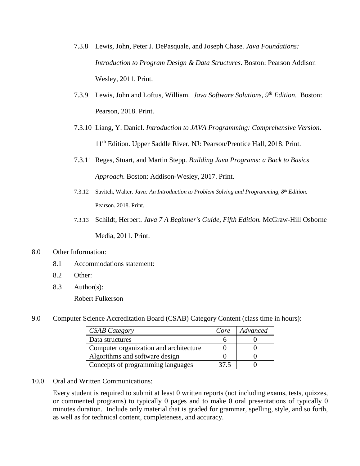- 7.3.8 Lewis, John, Peter J. DePasquale, and Joseph Chase. *Java Foundations: Introduction to Program Design & Data Structures*. Boston: Pearson Addison Wesley, 2011. Print.
- 7.3.9 Lewis, John and Loftus, William. *Java Software Solutions, 9th Edition*. Boston: Pearson, 2018. Print.
- 7.3.10 Liang, Y. Daniel. *Introduction to JAVA Programming: Comprehensive Version*. 11th Edition. Upper Saddle River, NJ: Pearson/Prentice Hall, 2018. Print.
- 7.3.11 Reges, Stuart, and Martin Stepp. *Building Java Programs: a Back to Basics Approach*. Boston: Addison-Wesley, 2017. Print.
- 7.3.12 Savitch, Walter. *Java: An Introduction to Problem Solving and Programming, 8th Edition*. Pearson. 2018. Print.
- 7.3.13 Schildt, Herbert. *Java 7 A Beginner's Guide, Fifth Edition.* McGraw-Hill Osborne Media, 2011. Print.

# 8.0 Other Information:

- 8.1 Accommodations statement:
- 8.2 Other:
- 8.3 Author(s):

Robert Fulkerson

9.0 Computer Science Accreditation Board (CSAB) Category Content (class time in hours):

| <b>CSAB Category</b>                   | Core | Advanced |
|----------------------------------------|------|----------|
| Data structures                        |      |          |
| Computer organization and architecture |      |          |
| Algorithms and software design         |      |          |
| Concepts of programming languages      | 37.5 |          |

10.0 Oral and Written Communications:

Every student is required to submit at least 0 written reports (not including exams, tests, quizzes, or commented programs) to typically 0 pages and to make 0 oral presentations of typically 0 minutes duration. Include only material that is graded for grammar, spelling, style, and so forth, as well as for technical content, completeness, and accuracy.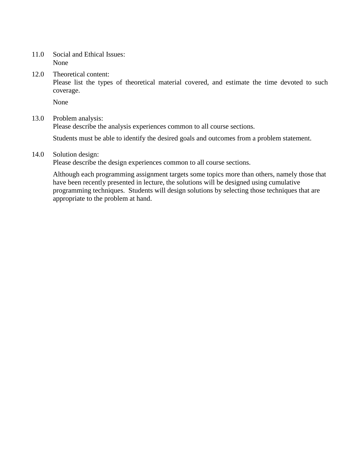11.0 Social and Ethical Issues: None

12.0 Theoretical content:

Please list the types of theoretical material covered, and estimate the time devoted to such coverage.

None

#### 13.0 Problem analysis:

Please describe the analysis experiences common to all course sections.

Students must be able to identify the desired goals and outcomes from a problem statement.

#### 14.0 Solution design:

Please describe the design experiences common to all course sections.

Although each programming assignment targets some topics more than others, namely those that have been recently presented in lecture, the solutions will be designed using cumulative programming techniques. Students will design solutions by selecting those techniques that are appropriate to the problem at hand.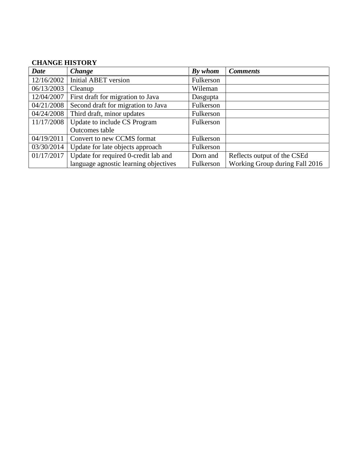# **CHANGE HISTORY**

| <b>Date</b> | Change                                | By whom   | <b>Comments</b>                |
|-------------|---------------------------------------|-----------|--------------------------------|
| 12/16/2002  | <b>Initial ABET version</b>           | Fulkerson |                                |
| 06/13/2003  | Cleanup                               | Wileman   |                                |
| 12/04/2007  | First draft for migration to Java     | Dasgupta  |                                |
| 04/21/2008  | Second draft for migration to Java    | Fulkerson |                                |
| 04/24/2008  | Third draft, minor updates            | Fulkerson |                                |
| 11/17/2008  | Update to include CS Program          | Fulkerson |                                |
|             | Outcomes table                        |           |                                |
| 04/19/2011  | Convert to new CCMS format            | Fulkerson |                                |
| 03/30/2014  | Update for late objects approach      | Fulkerson |                                |
| 01/17/2017  | Update for required 0-credit lab and  | Dorn and  | Reflects output of the CSEd    |
|             | language agnostic learning objectives | Fulkerson | Working Group during Fall 2016 |